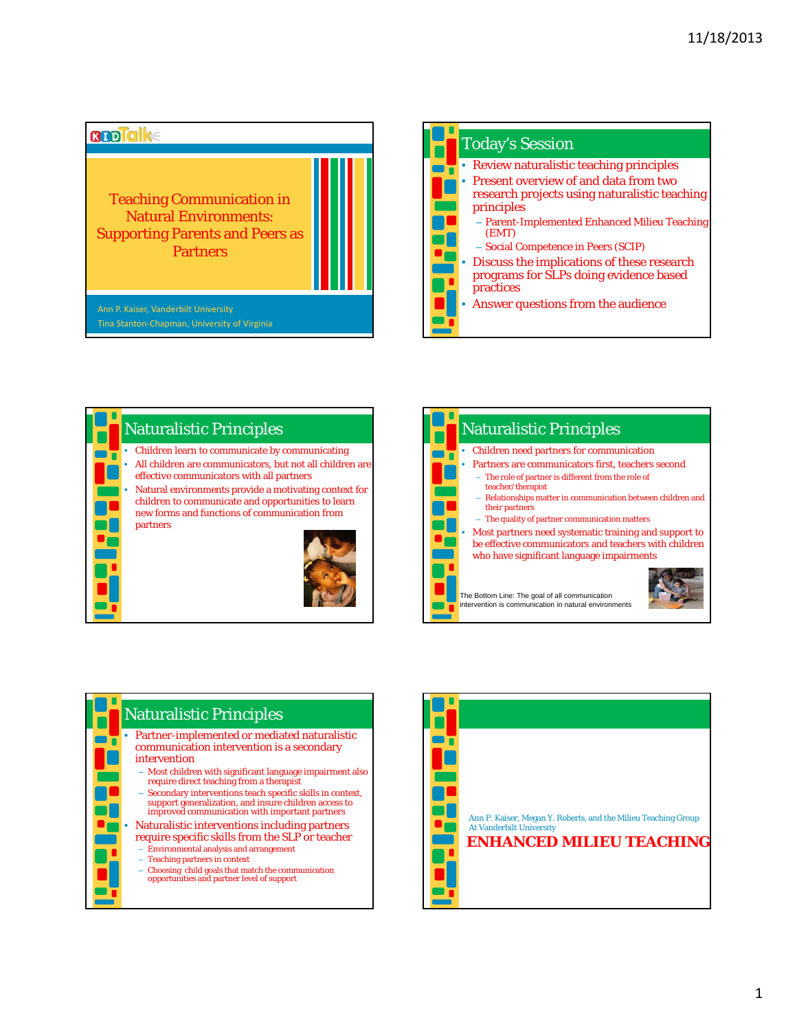

| <b>Today's Session</b>                                                                                      |
|-------------------------------------------------------------------------------------------------------------|
| • Review naturalistic teaching principles                                                                   |
| <b>Present overview of and data from two</b><br>research projects using naturalistic teaching<br>principles |
| - Parent-Implemented Enhanced Milieu Teaching<br>(EMT)<br>- Social Competence in Peers (SCIP)               |
| • Discuss the implications of these research<br>programs for SLPs doing evidence based<br>practices         |
| Answer questions from the audience                                                                          |



| <b>Naturalistic Principles</b>                                                                                                                              |  |  |  |  |
|-------------------------------------------------------------------------------------------------------------------------------------------------------------|--|--|--|--|
| Children need partners for communication                                                                                                                    |  |  |  |  |
| Partners are communicators first, teachers second<br>- The role of partner is different from the role of<br>teacher/therapist                               |  |  |  |  |
| - Relationships matter in communication between children and<br>their partners<br>- The quality of partner communication matters                            |  |  |  |  |
| Most partners need systematic training and support to<br>be effective communicators and teachers with children<br>who have significant language impairments |  |  |  |  |
| The Bottom Line: The goal of all communication<br>intervention is communication in natural environments                                                     |  |  |  |  |



- Most children with significant language impairment also require direct teaching from a therapist
- Secondary interventions teach specific skills in context, support generalization, and insure children access to improved communication with important partners
- Naturalistic interventions including partners require specific skills from the SLP or teacher
	- Environmental analysis and arrangement
	- Teaching partners in context
	- Choosing child goals that match the communication opportunities and partner level of support

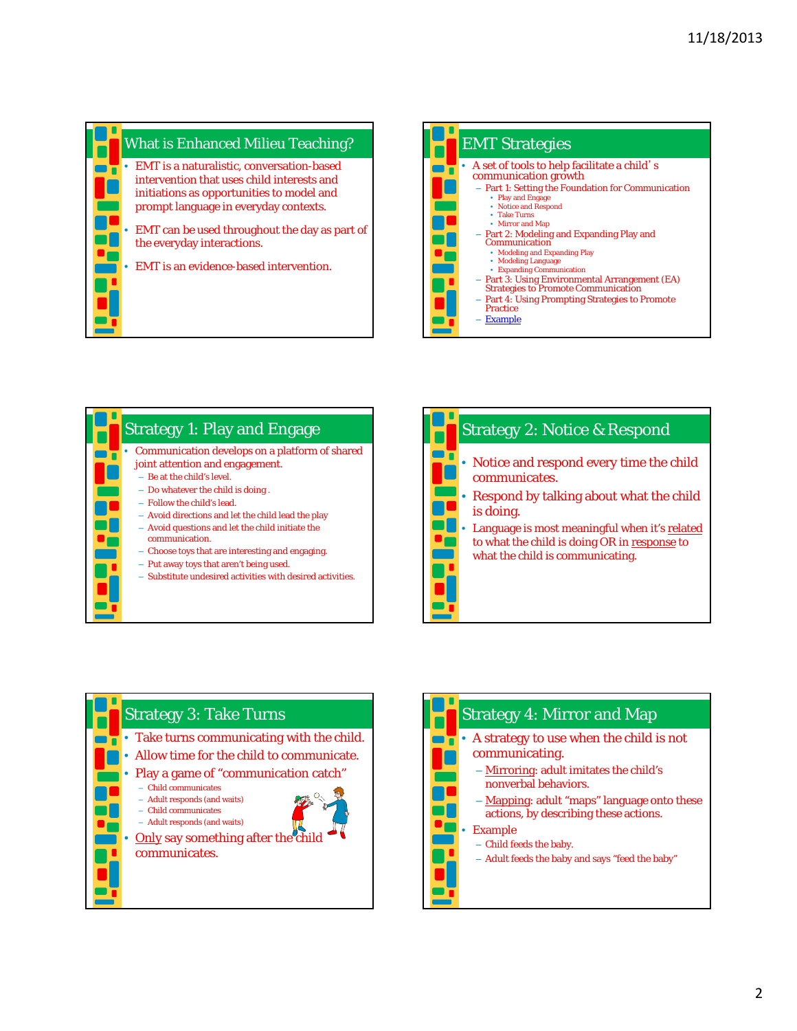









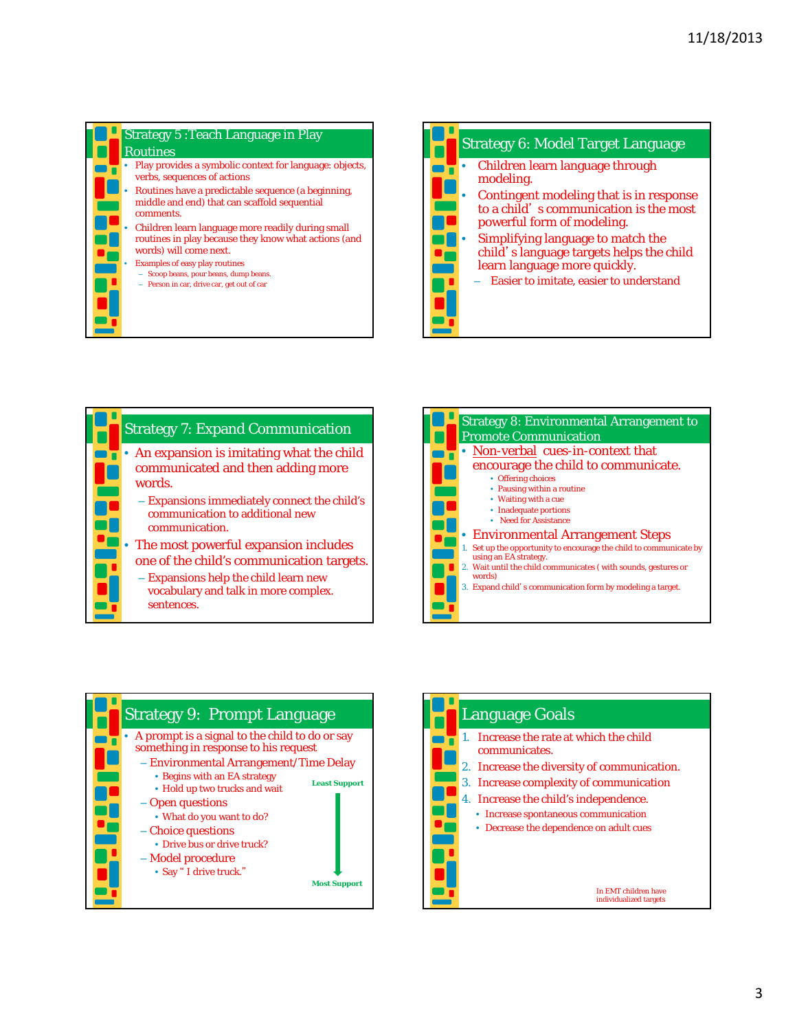

## Strategy 5 :Teach Language in Play Routines • Play provides a symbolic context for language: objects, verbs, sequences of actions

- Routines have a predictable sequence (a beginning, middle and end) that can scaffold sequential
- comments. • Children learn language more readily during small
- routines in play because they know what actions (and words) will come next.
	- Examples of easy play routines
	- Scoop beans, pour beans, dump beans.
	- Person in car, drive car, get out of car









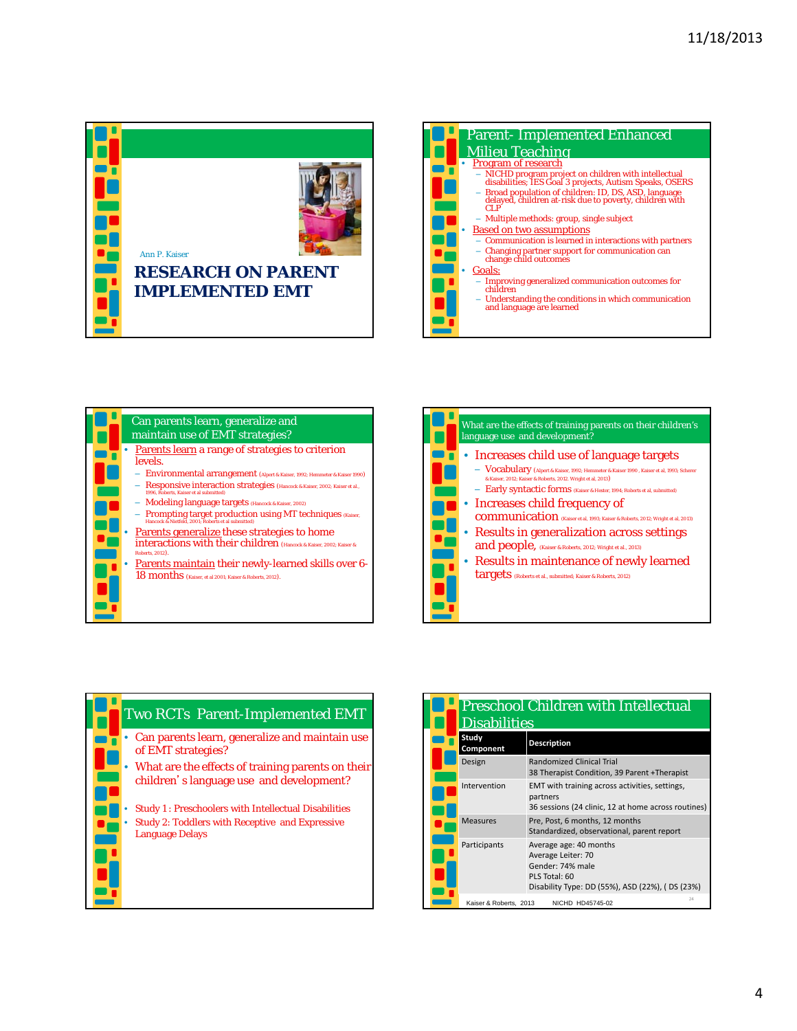





| What are the effects of training parents on their children's<br>language use and development?                                                                                                                                                                                                                                                                                                                                                                                                                                                                                                                                 |
|-------------------------------------------------------------------------------------------------------------------------------------------------------------------------------------------------------------------------------------------------------------------------------------------------------------------------------------------------------------------------------------------------------------------------------------------------------------------------------------------------------------------------------------------------------------------------------------------------------------------------------|
| • Increases child use of language targets<br>- Vocabulary (Alpert & Kaiser, 1992; Hemmeter & Kaiser 1990, Kaiser et al, 1993; Scherer<br>& Kaiser, 2012; Kaiser & Roberts, 2012. Wright et al, 2013)<br>- Early syntactic forms (Kaiser & Hester, 1994; Roberts et al, submitted)<br>• Increases child frequency of<br>COMMUNICAtion (Kaiser et al, 1993; Kaiser & Roberts, 2012; Wright et al, 2013)<br>• Results in generalization across settings<br>and people, (Kaiser & Roberts, 2012; Wright et al., 2013)<br>• Results in maintenance of newly learned<br>targets (Roberts et al., submitted; Kaiser & Roberts, 2012) |



| Preschool Children with Intellectual<br><b>Disabilities</b> |                                                                                                                                      |  |
|-------------------------------------------------------------|--------------------------------------------------------------------------------------------------------------------------------------|--|
| Study<br>Component                                          | <b>Description</b>                                                                                                                   |  |
| Design                                                      | <b>Randomized Clinical Trial</b><br>38 Therapist Condition, 39 Parent + Therapist                                                    |  |
| Intervention                                                | EMT with training across activities, settings,<br>partners<br>36 sessions (24 clinic, 12 at home across routines)                    |  |
| <b>Measures</b>                                             | Pre, Post, 6 months, 12 months<br>Standardized, observational, parent report                                                         |  |
| Participants                                                | Average age: 40 months<br>Average Leiter: 70<br>Gender: 74% male<br>PLS Total: 60<br>Disability Type: DD (55%), ASD (22%), (DS (23%) |  |
| Kaiser & Roberts, 2013                                      | 24<br>NICHD HD45745-02                                                                                                               |  |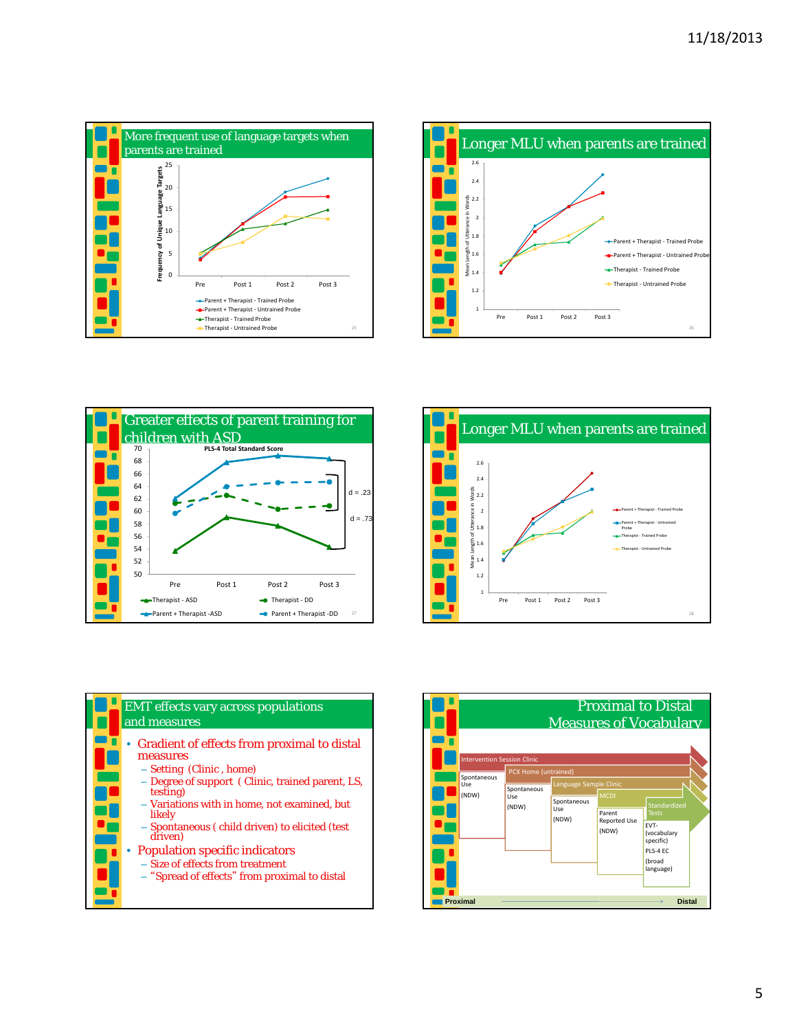









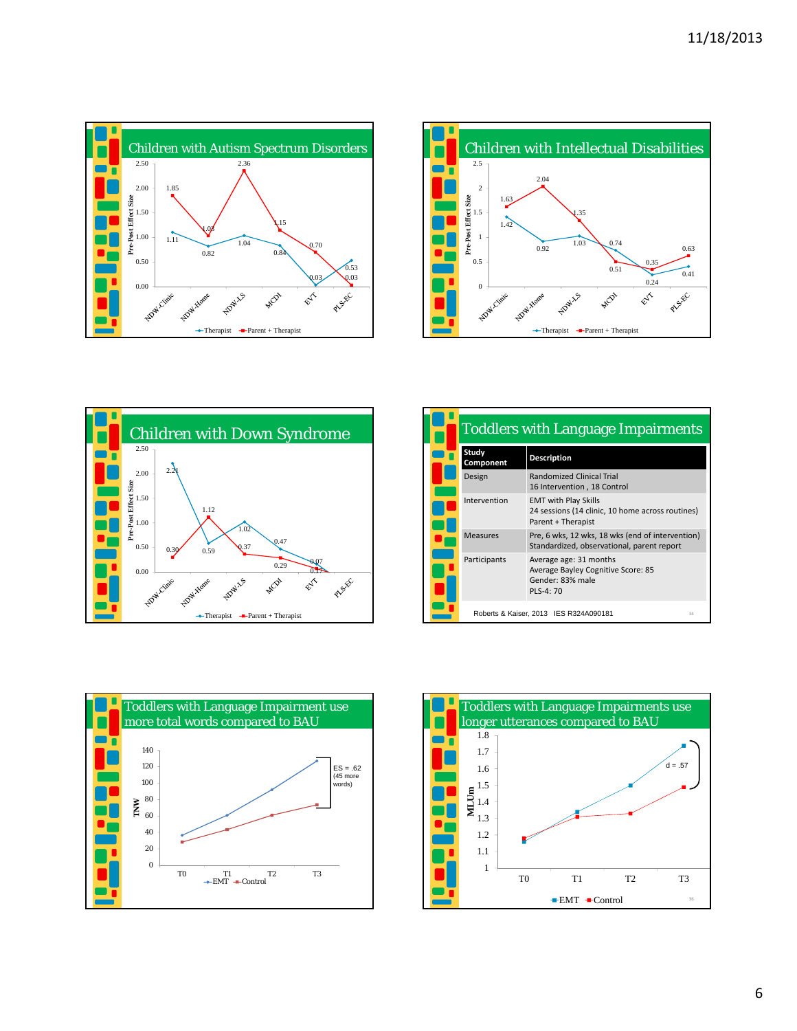





| <b>Toddlers with Language Impairments</b> |                                                                                                       |    |
|-------------------------------------------|-------------------------------------------------------------------------------------------------------|----|
| Study<br>Component                        | <b>Description</b>                                                                                    |    |
| Design                                    | <b>Randomized Clinical Trial</b><br>16 Intervention, 18 Control                                       |    |
| Intervention                              | <b>EMT with Play Skills</b><br>24 sessions (14 clinic, 10 home across routines)<br>Parent + Therapist |    |
| <b>Measures</b>                           | Pre, 6 wks, 12 wks, 18 wks (end of intervention)<br>Standardized, observational, parent report        |    |
| Participants                              | Average age: 31 months<br>Average Bayley Cognitive Score: 85<br>Gender: 83% male<br>PLS-4: 70         |    |
|                                           | Roberts & Kaiser, 2013 IES R324A090181                                                                | 34 |



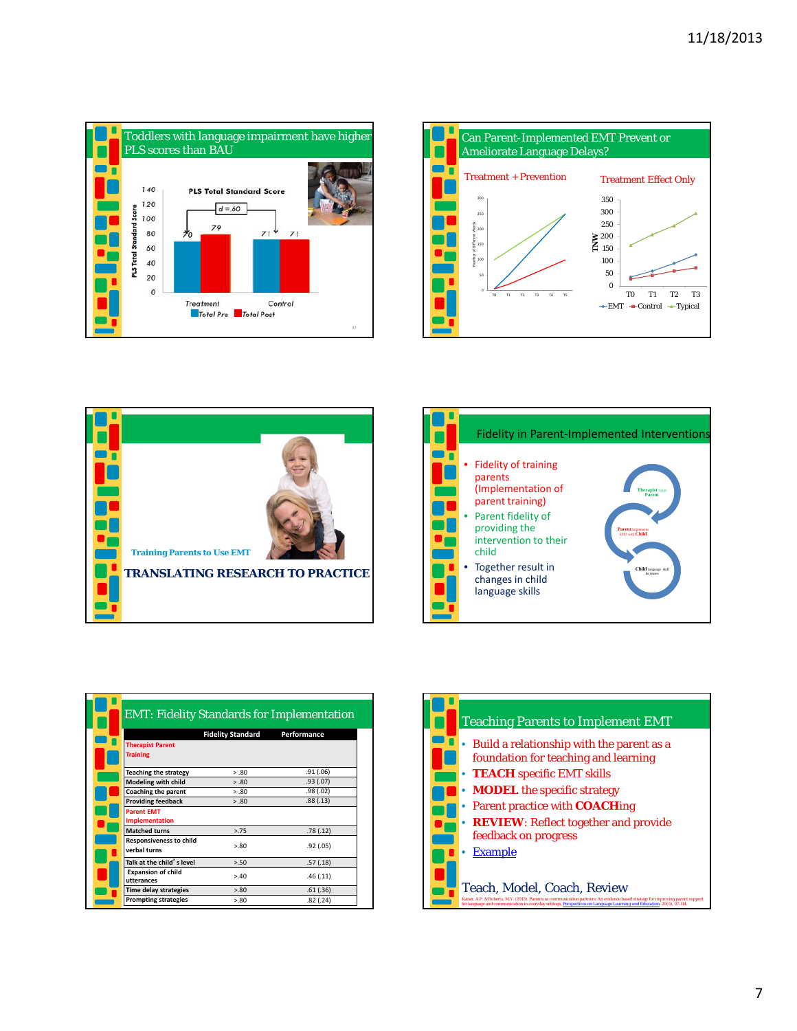







|                                                | <b>Fidelity Standard</b> | Performance |
|------------------------------------------------|--------------------------|-------------|
| <b>Therapist Parent</b>                        |                          |             |
| <b>Training</b>                                |                          |             |
| <b>Teaching the strategy</b>                   | > 0.80                   | .91(.06)    |
| Modeling with child                            | > .80                    | .93(0.07)   |
| Coaching the parent                            | 5.80                     | .98(.02)    |
| <b>Providing feedback</b>                      | > 0.80                   | .88(.13)    |
| <b>Parent EMT</b><br>Implementation            |                          |             |
| <b>Matched turns</b>                           | 2.75                     | .78(.12)    |
| <b>Responsiveness to child</b><br>verbal turns | > 80                     | .92(0.05)   |
| Talk at the child's level                      | 5.50                     | .57(.18)    |
| <b>Expansion of child</b><br>utterances        | > 40                     | .46(.11)    |
| <b>Time delay strategies</b>                   | > 80                     | .61(.36)    |
| <b>Prompting strategies</b>                    | > 80                     | .82(.24)    |

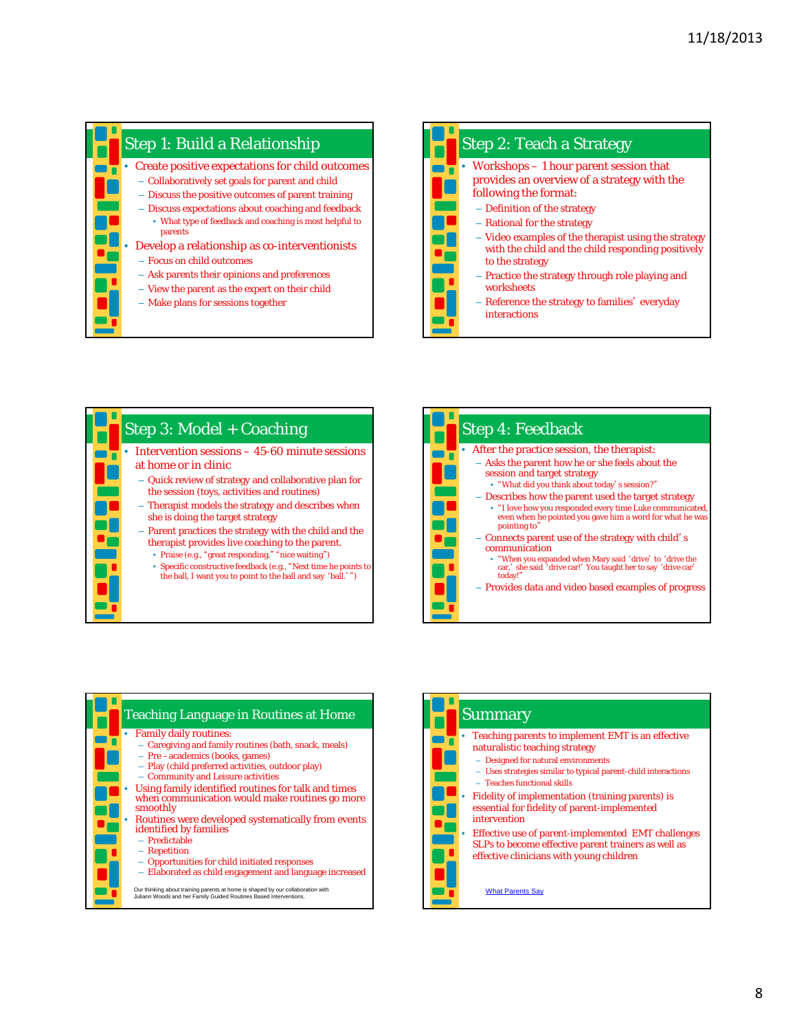









| <b>Summary</b>                                                                                                                                                                                                                                                                                                                                                                                                                                                                                           |
|----------------------------------------------------------------------------------------------------------------------------------------------------------------------------------------------------------------------------------------------------------------------------------------------------------------------------------------------------------------------------------------------------------------------------------------------------------------------------------------------------------|
| Teaching parents to implement EMT is an effective<br>naturalistic teaching strategy<br>- Designed for natural environments<br>- Uses strategies similar to typical parent-child interactions<br>- Teaches functional skills<br>Fidelity of implementation (training parents) is<br>essential for fidelity of parent-implemented<br>intervention<br>Effective use of parent-implemented EMT challenges<br>SLPs to become effective parent trainers as well as<br>effective clinicians with young children |
| <b>What Parents Say</b>                                                                                                                                                                                                                                                                                                                                                                                                                                                                                  |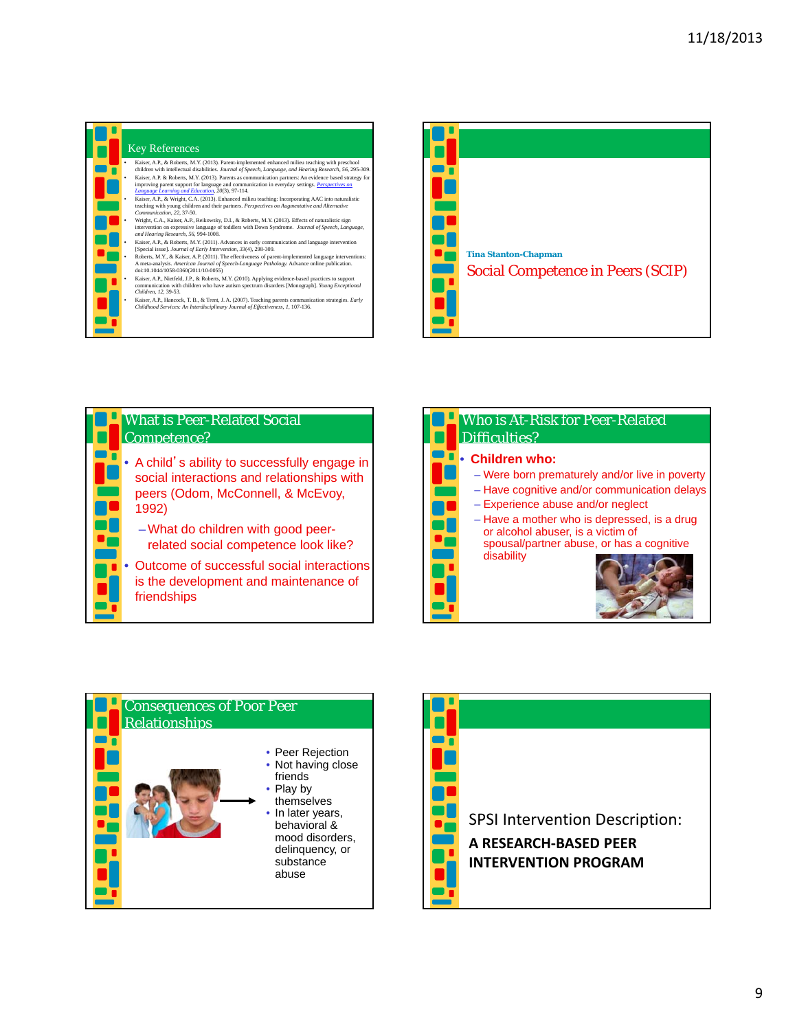

## Key References

|   | Kaiser, A.P., & Roberts, M.Y. (2013). Parent-implemented enhanced milieu teaching with preschool<br>children with intellectual disabilities. Journal of Speech, Language, and Hearing Research, 56, 295-309.                                               |
|---|------------------------------------------------------------------------------------------------------------------------------------------------------------------------------------------------------------------------------------------------------------|
|   | Kaiser, A.P. & Roberts, M.Y. (2013). Parents as communication partners: An evidence based strategy for<br>improving parent support for language and communication in everyday settings. Perspectives on<br>Language Learning and Education, 20(3), 97-114. |
|   | Kaiser, A.P., & Wright, C.A. (2013). Enhanced milieu teaching: Incorporating AAC into naturalistic<br>teaching with young children and their partners. Perspectives on Augmentative and Alternative<br>Communication, 22, 37-50.                           |
|   | Wright, C.A., Kaiser, A.P., Reikowsky, D.I., & Roberts, M.Y. (2013). Effects of naturalistic sign<br>intervention on expressive language of toddlers with Down Syndrome. Journal of Speech, Language,<br>and Hearing Research, 56, 994-1008.               |
|   | Kaiser, A.P., & Roberts, M.Y. (2011). Advances in early communication and language intervention<br>[Special issue]. Journal of Early Intervention, 33(4), 298-309.                                                                                         |
| ۰ | Roberts, M.Y., & Kaiser, A.P. (2011). The effectiveness of parent-implemented language interventions:<br>A meta-analysis. American Journal of Speech-Language Pathology. Advance online publication.<br>doi:10.1044/1058-0360(2011/10-0055)                |
|   | Kaiser, A.P., Nietfeld, J.P., & Roberts, M.Y. (2010). Applying evidence-based practices to support<br>communication with children who have autism spectrum disorders [Monograph]. Young Exceptional<br>Children, 12, 39-53.                                |
|   | Kaiser, A.P., Hancock, T.B., & Trent, J.A. (2007). Teaching parents communication strategies. Early<br>Childhood Services: An Interdisciplinary Journal of Effectiveness, 1, 107-136.                                                                      |
|   |                                                                                                                                                                                                                                                            |





| Who is At-Risk for Peer-Related<br>Difficulties?                                                                                                                                                                                                                                                      |
|-------------------------------------------------------------------------------------------------------------------------------------------------------------------------------------------------------------------------------------------------------------------------------------------------------|
| • Children who:<br>- Were born prematurely and/or live in poverty<br>- Have cognitive and/or communication delays<br>- Experience abuse and/or neglect<br>- Have a mother who is depressed, is a drug<br>or alcohol abuser, is a victim of<br>spousal/partner abuse, or has a cognitive<br>disability |



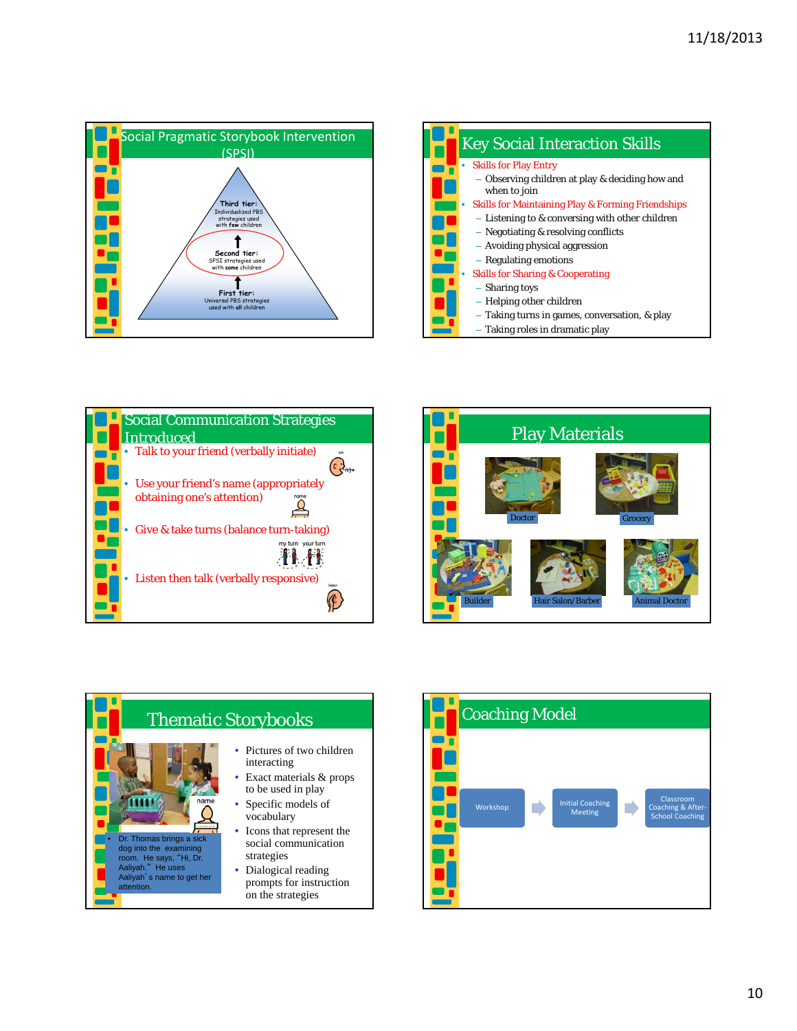









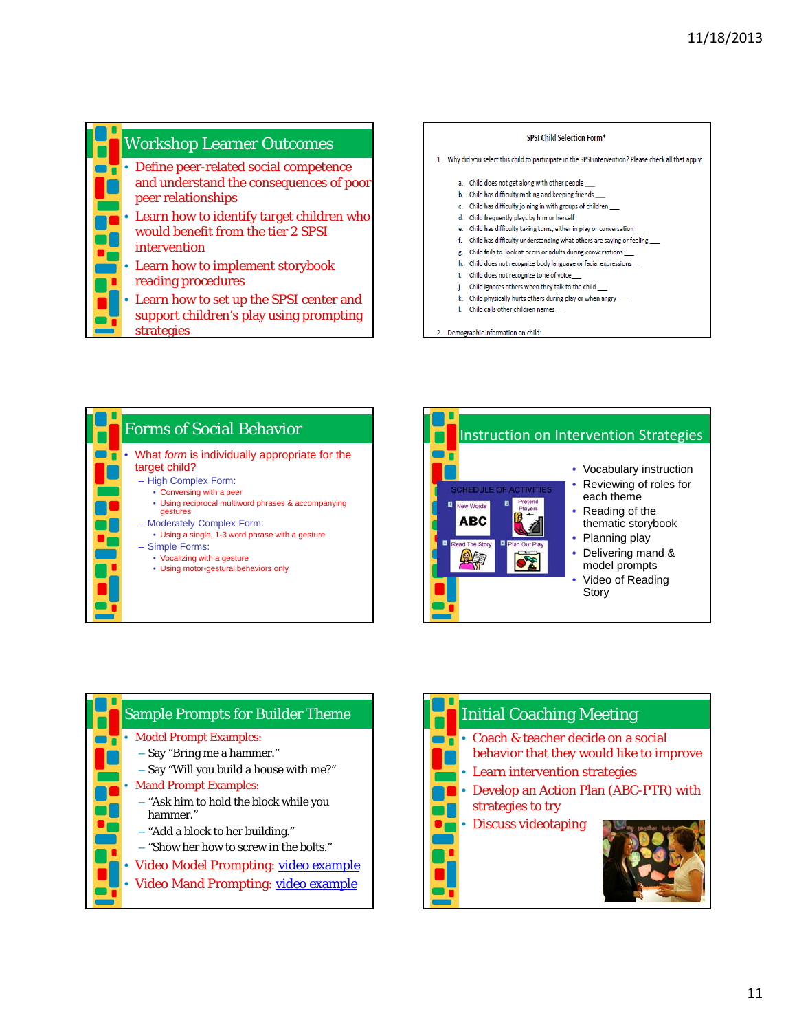

• Learn how to set up the SPSI center and support children's play using prompting strategies

## SPSI Child Selection Form\*

- 1. Why did you select this child to participate in the SPSI intervention? Please check all that apply:
	- a. Child does not get along with other people \_\_\_
	- b. Child has difficulty making and keeping friends
	- c. Child has difficulty joining in with groups of children
	- d. Child frequently plays by him or herself
	- e. Child has difficulty taking turns, either in play or conversation
	- f. Child has difficulty understanding what others are saying or feeling \_\_\_
	- g. Child fails to look at peers or adults during conversations
	- h. Child does not recognize body language or facial expressions
	- i. Child does not recognize tone of voice\_
	- j. Child ignores others when they talk to the child
	- k. Child physically hurts others during play or when angry
	- I. Child calls other children names
- 2. Demographic information on child:







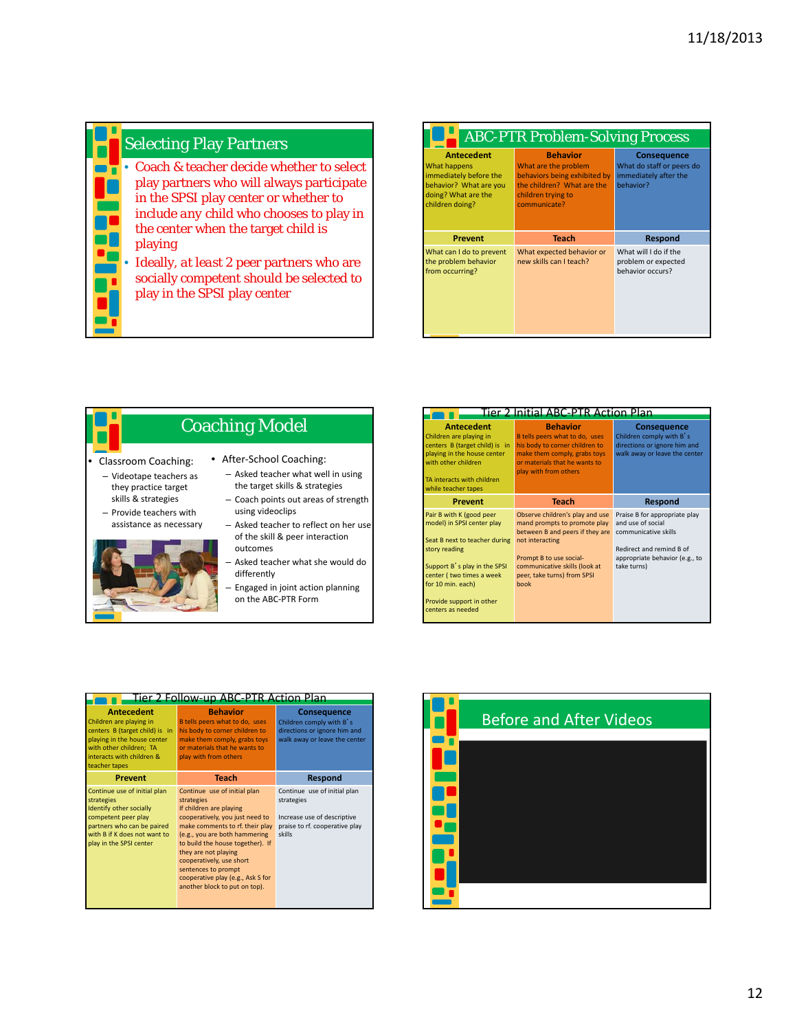

## **Selecting Play Partners**

• Coach & teacher decide whether to select play partners who will always participate in the SPSI play center or whether to include *any* child who chooses to play in the center when the target child is playing

> • Ideally, *at least* 2 peer partners who are socially competent should be selected to play in the SPSI play center

| <b>ABC-PTR Problem-Solving Process</b>                                                                                          |                                                                                                                                             |                                                                                       |  |
|---------------------------------------------------------------------------------------------------------------------------------|---------------------------------------------------------------------------------------------------------------------------------------------|---------------------------------------------------------------------------------------|--|
| <b>Antecedent</b><br>What happens<br>immediately before the<br>behavior? What are you<br>doing? What are the<br>children doing? | <b>Behavior</b><br>What are the problem<br>behaviors being exhibited by<br>the children? What are the<br>children trying to<br>communicate? | <b>Consequence</b><br>What do staff or peers do<br>immediately after the<br>hehavior? |  |
| <b>Prevent</b>                                                                                                                  | <b>Teach</b>                                                                                                                                | <b>Respond</b>                                                                        |  |
| What can I do to prevent<br>the problem behavior<br>from occurring?                                                             | What expected behavior or<br>new skills can I teach?                                                                                        | What will I do if the<br>problem or expected<br>behavior occurs?                      |  |



| <u>Fier 2 Initial </u><br>ABC-PTR Action                                                                                                                                                                                                   |                                                                                                                                                                                                                          |                                                                                                                                                         |  |
|--------------------------------------------------------------------------------------------------------------------------------------------------------------------------------------------------------------------------------------------|--------------------------------------------------------------------------------------------------------------------------------------------------------------------------------------------------------------------------|---------------------------------------------------------------------------------------------------------------------------------------------------------|--|
| <b>Antecedent</b><br>Children are playing in<br>centers B (target child) is in<br>playing in the house center<br>with other children<br>TA interacts with children<br>while teacher tapes                                                  | <b>Behavior</b><br>B tells peers what to do, uses<br>his body to corner children to<br>make them comply, grabs toys<br>or materials that he wants to<br>play with from others                                            | <b>Consequence</b><br>Children comply with B's<br>directions or ignore him and<br>walk away or leave the center                                         |  |
| Prevent                                                                                                                                                                                                                                    | <b>Teach</b>                                                                                                                                                                                                             | <b>Respond</b>                                                                                                                                          |  |
| Pair B with K (good peer<br>model) in SPSI center play<br>Seat B next to teacher during<br>story reading<br>Support B's play in the SPSI<br>center (two times a week<br>for 10 min. each)<br>Provide support in other<br>centers as needed | Observe children's play and use<br>mand prompts to promote play<br>between B and peers if they are<br>not interacting<br>Prompt B to use social-<br>communicative skills (look at<br>peer, take turns) from SPSI<br>book | Praise B for appropriate play<br>and use of social<br>communicative skills<br>Redirect and remind B of<br>appropriate behavior (e.g., to<br>take turns) |  |

| Tier 2 Follow-up ABC-PTR Action Plan                                                                                                                                                   |                                                                                                                                                                                                                                                                                                                                                                   |                                                                                                                       |  |
|----------------------------------------------------------------------------------------------------------------------------------------------------------------------------------------|-------------------------------------------------------------------------------------------------------------------------------------------------------------------------------------------------------------------------------------------------------------------------------------------------------------------------------------------------------------------|-----------------------------------------------------------------------------------------------------------------------|--|
| <b>Antecedent</b><br>Children are playing in<br>centers B (target child) is in<br>playing in the house center<br>with other children; TA<br>interacts with children &<br>teacher tapes | <b>Behavior</b><br>B tells peers what to do, uses<br>his body to corner children to<br>make them comply, grabs toys<br>or materials that he wants to<br>play with from others                                                                                                                                                                                     | <b>Consequence</b><br>Children comply with B's<br>directions or ignore him and<br>walk away or leave the center       |  |
| <b>Prevent</b>                                                                                                                                                                         | <b>Teach</b>                                                                                                                                                                                                                                                                                                                                                      | <b>Respond</b>                                                                                                        |  |
| Continue use of initial plan<br>strategies<br>Identify other socially<br>competent peer play<br>partners who can be paired<br>with B if K does not want to<br>play in the SPSI center  | Continue use of initial plan<br>strategies<br>If children are playing<br>cooperatively, you just need to<br>make comments to rf. their play<br>(e.g., you are both hammering<br>to build the house together). If<br>they are not playing<br>cooperatively, use short<br>sentences to prompt<br>cooperative play (e.g., Ask S for<br>another block to put on top). | Continue use of initial plan<br>strategies<br>Increase use of descriptive<br>praise to rf. cooperative play<br>skills |  |

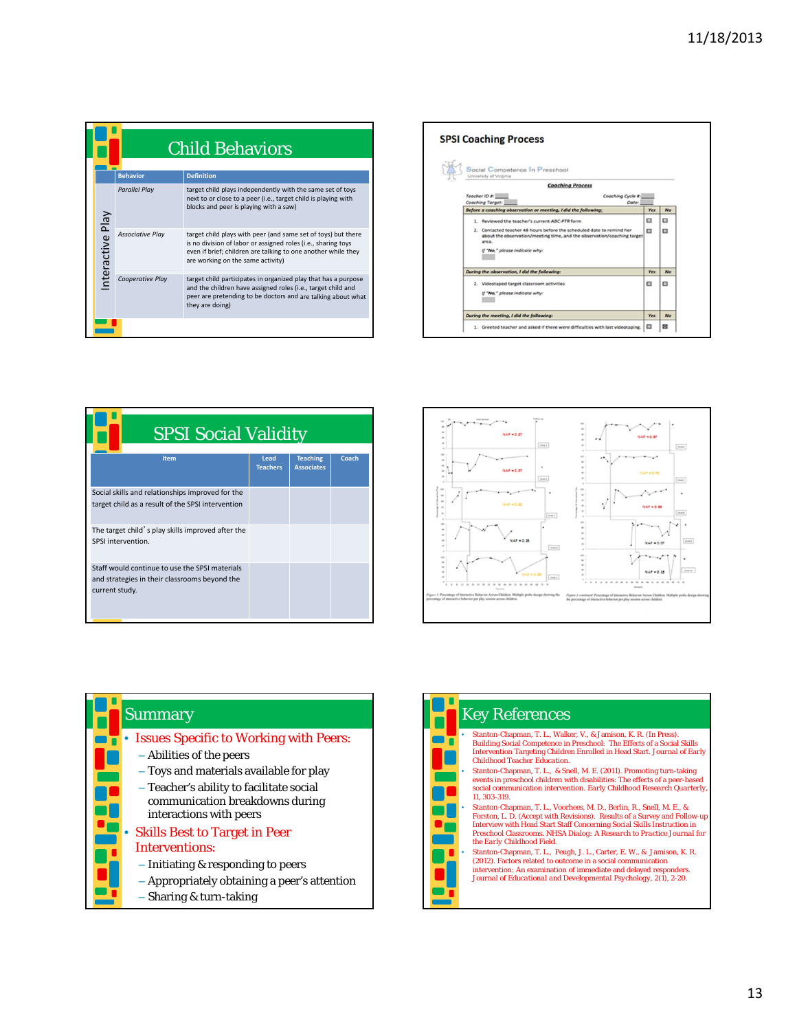| <b>Child Behaviors</b> |                         |                                                                                                                                                                                                                                      |  |  |  |
|------------------------|-------------------------|--------------------------------------------------------------------------------------------------------------------------------------------------------------------------------------------------------------------------------------|--|--|--|
|                        | <b>Behavior</b>         | <b>Definition</b>                                                                                                                                                                                                                    |  |  |  |
|                        | <b>Parallel Play</b>    | target child plays independently with the same set of toys<br>next to or close to a peer (i.e., target child is playing with<br>blocks and peer is playing with a saw)                                                               |  |  |  |
| nteractive Play        | <b>Associative Play</b> | target child plays with peer (and same set of toys) but there<br>is no division of labor or assigned roles (i.e., sharing toys<br>even if brief; children are talking to one another while they<br>are working on the same activity) |  |  |  |
|                        | Cooperative Play        | target child participates in organized play that has a purpose<br>and the children have assigned roles (i.e., target child and<br>peer are pretending to be doctors and are talking about what<br>they are doing)                    |  |  |  |
|                        |                         |                                                                                                                                                                                                                                      |  |  |  |



| <b>SPSI Social Validity</b>                                                                                       |                         |                                      |       |  |  |
|-------------------------------------------------------------------------------------------------------------------|-------------------------|--------------------------------------|-------|--|--|
| Item                                                                                                              | Lead<br><b>Teachers</b> | <b>Teaching</b><br><b>Associates</b> | Coach |  |  |
| Social skills and relationships improved for the<br>target child as a result of the SPSI intervention             |                         |                                      |       |  |  |
| The target child's play skills improved after the<br>SPSI intervention.                                           |                         |                                      |       |  |  |
| Staff would continue to use the SPSI materials<br>and strategies in their classrooms beyond the<br>current study. |                         |                                      |       |  |  |